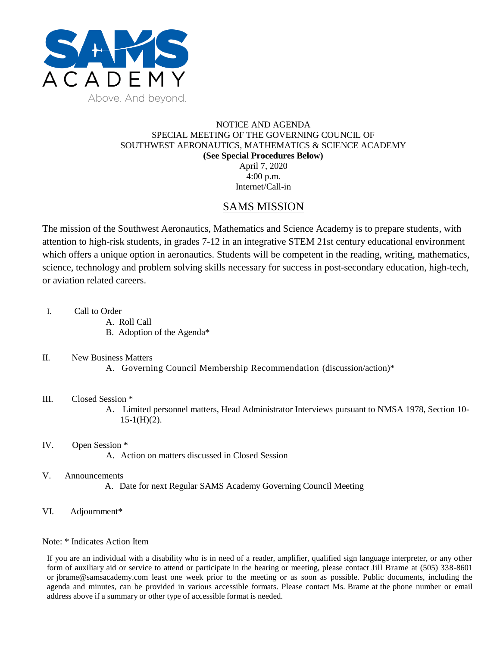

## NOTICE AND AGENDA SPECIAL MEETING OF THE GOVERNING COUNCIL OF SOUTHWEST AERONAUTICS, MATHEMATICS & SCIENCE ACADEMY **(See Special Procedures Below)** April 7, 2020 4:00 p.m.

Internet/Call-in

# SAMS MISSION

The mission of the Southwest Aeronautics, Mathematics and Science Academy is to prepare students, with attention to high-risk students, in grades 7-12 in an integrative STEM 21st century educational environment which offers a unique option in aeronautics. Students will be competent in the reading, writing, mathematics, science, technology and problem solving skills necessary for success in post-secondary education, high-tech, or aviation related careers.

- I. Call to Order
	- A. Roll Call
	- B. Adoption of the Agenda\*

# II. New Business Matters

A. Governing Council Membership Recommendation (discussion/action)\*

# III. Closed Session \*

A. Limited personnel matters, Head Administrator Interviews pursuant to NMSA 1978, Section 10-  $15-1(H)(2)$ .

#### IV. Open Session \* A. Action on matters discussed in Closed Session

## V. Announcements

A. Date for next Regular SAMS Academy Governing Council Meeting

## VI. Adjournment\*

## Note: \* Indicates Action Item

If you are an individual with a disability who is in need of a reader, amplifier, qualified sign language interpreter, or any other form of auxiliary aid or service to attend or participate in the hearing or meeting, please contact Jill Brame at (505) 338-8601 or jbrame@samsacademy.com least one week prior to the meeting or as soon as possible. Public documents, including the agenda and minutes, can be provided in various accessible formats. Please contact Ms. Brame at the phone number or email address above if a summary or other type of accessible format is needed.